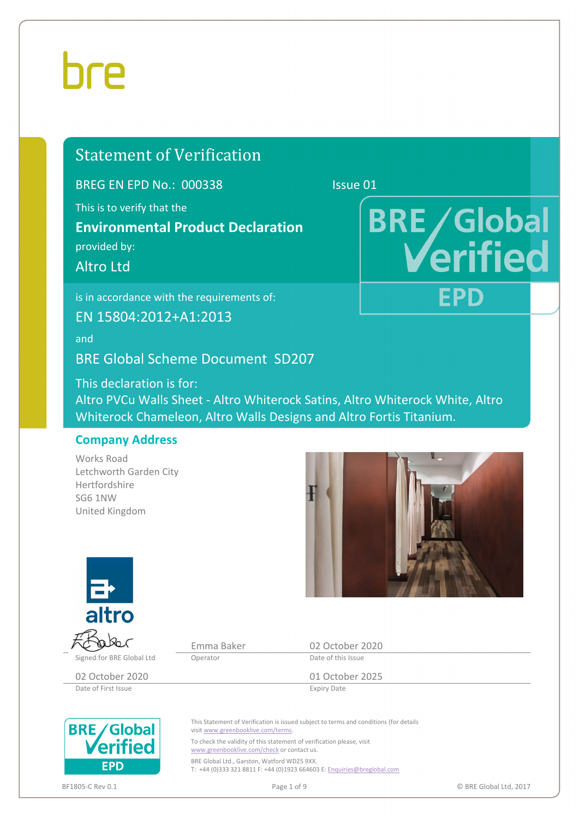# hre

# Statement of Verification

BREG EN EPD No.: 000338 Issue 01

This is to verify that the

**Environmental Product Declaration** 

provided by:

Altro Ltd

is in accordance with the requirements of:

EN 15804:2012+A1:2013

and

BRE Global Scheme Document SD207

This declaration is for: Altro PVCu Walls Sheet ‐ Altro Whiterock Satins, Altro Whiterock White, Altro Whiterock Chameleon, Altro Walls Designs and Altro Fortis Titanium.

### **Company Address**

Works Road Letchworth Garden City Hertfordshire SG6 1NW United Kingdom



**BRE/Global** 

FPD

erified



Date of First Issue

Signed for BRE Global Ltd Coperator Content Content Content Content Clark Clark Clark

Emma Baker 02 October 2020

02 October 2020 01 October 2025<br>
Date of First Issue Expiry Date



This Statement of Verification is issued subject to terms and conditions (for details visit www.greenbooklive.com/terms.

To check the validity of this statement of verification please, visit www.greenbooklive.com/check or contact us. BRE Global Ltd., Garston, Watford WD25 9XX.

T: +44 (0)333 321 8811 F: +44 (0)1923 664603 E: Enquiries@breglobal.com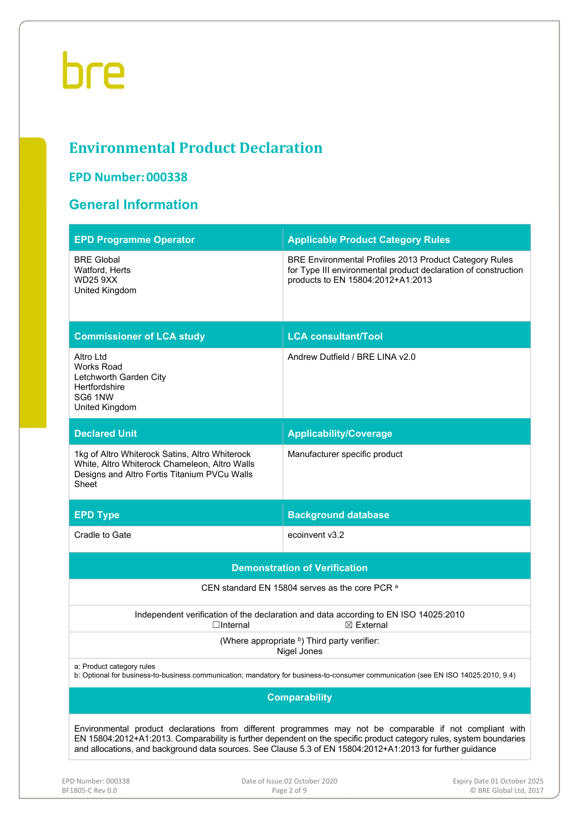# **Environmental Product Declaration**

# **EPD Number: 000338**

# **General Information**

| <b>EPD Programme Operator</b>                                                                                                                            | <b>Applicable Product Category Rules</b>                                                                                                                             |  |  |  |  |
|----------------------------------------------------------------------------------------------------------------------------------------------------------|----------------------------------------------------------------------------------------------------------------------------------------------------------------------|--|--|--|--|
| <b>BRE Global</b><br>Watford, Herts<br><b>WD25 9XX</b><br>United Kingdom                                                                                 | <b>BRE Environmental Profiles 2013 Product Category Rules</b><br>for Type III environmental product declaration of construction<br>products to EN 15804:2012+A1:2013 |  |  |  |  |
| <b>Commissioner of LCA study</b>                                                                                                                         | <b>LCA consultant/Tool</b>                                                                                                                                           |  |  |  |  |
| Altro Ltd<br>Works Road<br>Letchworth Garden City<br>Hertfordshire<br>SG6 1NW<br>United Kingdom                                                          | Andrew Dutfield / BRE LINA v2.0                                                                                                                                      |  |  |  |  |
| <b>Declared Unit</b>                                                                                                                                     | <b>Applicability/Coverage</b>                                                                                                                                        |  |  |  |  |
| 1kg of Altro Whiterock Satins, Altro Whiterock<br>White, Altro Whiterock Chameleon, Altro Walls<br>Designs and Altro Fortis Titanium PVCu Walls<br>Sheet | Manufacturer specific product                                                                                                                                        |  |  |  |  |
| <b>EPD Type</b>                                                                                                                                          | <b>Background database</b>                                                                                                                                           |  |  |  |  |
| Cradle to Gate                                                                                                                                           | ecoinvent v3.2                                                                                                                                                       |  |  |  |  |
|                                                                                                                                                          |                                                                                                                                                                      |  |  |  |  |
|                                                                                                                                                          | <b>Demonstration of Verification</b>                                                                                                                                 |  |  |  |  |
|                                                                                                                                                          | CEN standard EN 15804 serves as the core PCR <sup>a</sup>                                                                                                            |  |  |  |  |
| $\Box$ Internal                                                                                                                                          | Independent verification of the declaration and data according to EN ISO 14025:2010<br>$\boxtimes$ External                                                          |  |  |  |  |
|                                                                                                                                                          | (Where appropriate b) Third party verifier:<br>Nigel Jones                                                                                                           |  |  |  |  |
| a: Product category rules                                                                                                                                | b: Optional for business-to-business communication; mandatory for business-to-consumer communication (see EN ISO 14025:2010, 9.4)                                    |  |  |  |  |
|                                                                                                                                                          | <b>Comparability</b>                                                                                                                                                 |  |  |  |  |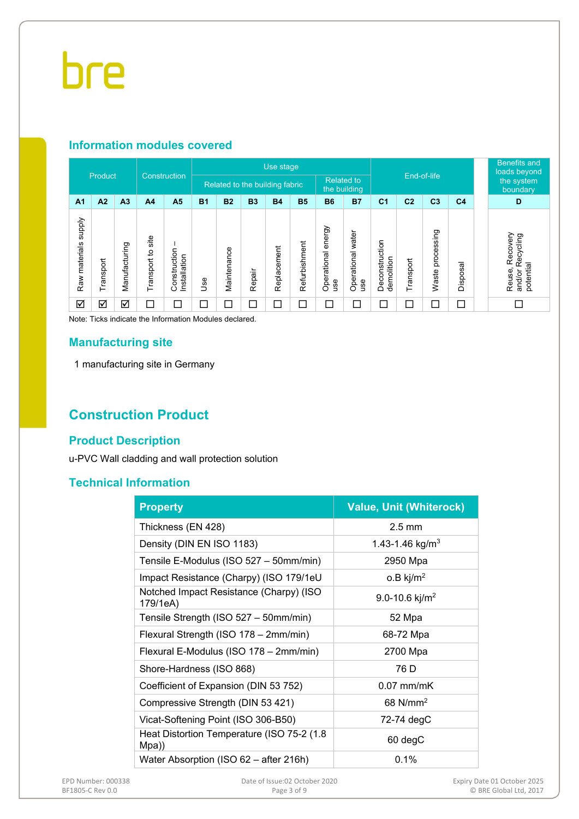# **Information modules covered**

|                                  |           |                |                      |                              |                                | Use stage   |           |                   |                          |                              |                          |                              |                |                     | <b>Benefits and</b><br>loads beyond |  |                                                           |
|----------------------------------|-----------|----------------|----------------------|------------------------------|--------------------------------|-------------|-----------|-------------------|--------------------------|------------------------------|--------------------------|------------------------------|----------------|---------------------|-------------------------------------|--|-----------------------------------------------------------|
|                                  | Product   |                | Construction         |                              | Related to the building fabric |             |           | <b>Related to</b> | the building             |                              |                          |                              | End-of-life    |                     |                                     |  |                                                           |
| A <sub>1</sub>                   | A2        | A <sub>3</sub> | A <sub>4</sub>       | A <sub>5</sub>               | <b>B1</b>                      | <b>B2</b>   | <b>B3</b> | <b>B4</b>         | <b>B5</b>                | <b>B6</b>                    | <b>B7</b>                | C <sub>1</sub>               | C <sub>2</sub> | C <sub>3</sub>      | C <sub>4</sub>                      |  | D                                                         |
| <b>Addns</b><br>materials<br>Raw | Transport | Manufacturing  | site<br>Transport to | Construction<br>Installation | 9se                            | Maintenance | Repair    | Replacement       | Refurbishment            | energy<br>Operational<br>use | Operational water<br>use | Deconstruction<br>demolition | Transport      | processing<br>Waste | Disposal                            |  | Recovery<br>cycling<br>൙<br>potential<br>Reuse,<br>and/or |
| ☑                                | ☑         | ☑              | ⊏                    | $\Box$                       | $\overline{\phantom{0}}$       | ⊏           | $\Box$    | $\Box$            | $\overline{\phantom{0}}$ | $\Box$                       | $\Box$                   | ⊏                            |                | Г                   | П                                   |  | П                                                         |

Note: Ticks indicate the Information Modules declared.

### **Manufacturing site**

1 manufacturing site in Germany

# **Construction Product**

### **Product Description**

u-PVC Wall cladding and wall protection solution

# **Technical Information**

| <b>Property</b>                                      | <b>Value, Unit (Whiterock)</b> |
|------------------------------------------------------|--------------------------------|
| Thickness (EN 428)                                   | $2.5 \text{ mm}$               |
| Density (DIN EN ISO 1183)                            | 1.43-1.46 kg/m <sup>3</sup>    |
| Tensile E-Modulus (ISO 527 - 50mm/min)               | 2950 Mpa                       |
| Impact Resistance (Charpy) (ISO 179/1eU              | $o.B$ kj/m <sup>2</sup>        |
| Notched Impact Resistance (Charpy) (ISO<br>179/1eA)  | 9.0-10.6 kj/m <sup>2</sup>     |
| Tensile Strength (ISO 527 - 50mm/min)                | 52 Mpa                         |
| Flexural Strength (ISO 178 - 2mm/min)                | 68-72 Mpa                      |
| Flexural E-Modulus (ISO 178 - 2mm/min)               | 2700 Mpa                       |
| Shore-Hardness (ISO 868)                             | 76 D                           |
| Coefficient of Expansion (DIN 53 752)                | $0.07$ mm/mK                   |
| Compressive Strength (DIN 53 421)                    | 68 $N/mm2$                     |
| Vicat-Softening Point (ISO 306-B50)                  | 72-74 degC                     |
| Heat Distortion Temperature (ISO 75-2 (1.8)<br>Mpa)) | 60 degC                        |
| Water Absorption (ISO 62 - after 216h)               | 0.1%                           |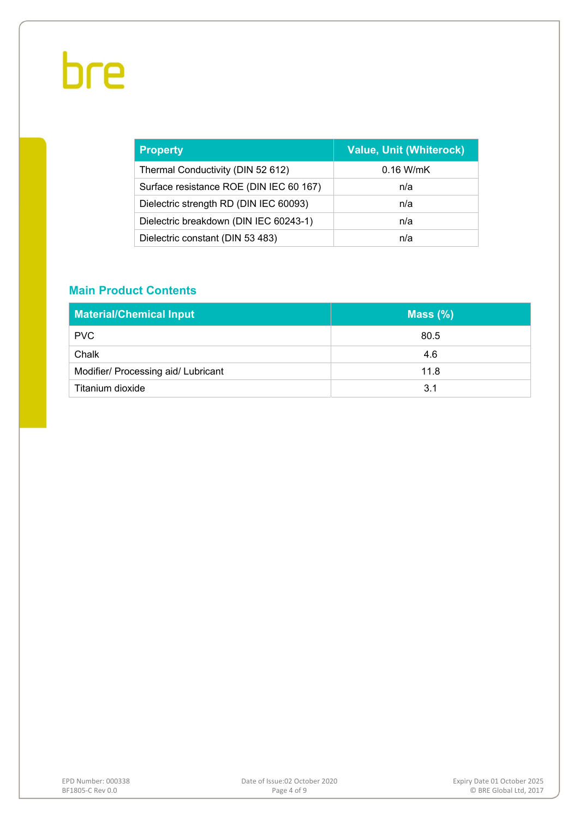| <b>Property</b>                         | <b>Value, Unit (Whiterock)</b> |
|-----------------------------------------|--------------------------------|
| Thermal Conductivity (DIN 52 612)       | $0.16$ W/mK                    |
| Surface resistance ROE (DIN IEC 60 167) | n/a                            |
| Dielectric strength RD (DIN IEC 60093)  | n/a                            |
| Dielectric breakdown (DIN IEC 60243-1)  | n/a                            |
| Dielectric constant (DIN 53 483)        | n/a                            |

# **Main Product Contents**

| <b>Material/Chemical Input</b>      | Mass $(\%)$ |
|-------------------------------------|-------------|
| <b>PVC</b>                          | 80.5        |
| Chalk                               | 4.6         |
| Modifier/ Processing aid/ Lubricant | 11.8        |
| Titanium dioxide                    | 3.1         |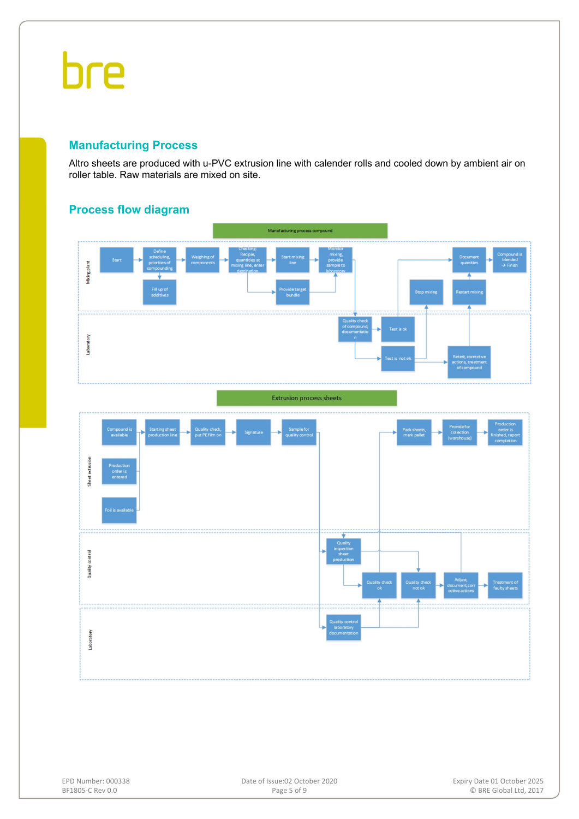## **Manufacturing Process**

Altro sheets are produced with u-PVC extrusion line with calender rolls and cooled down by ambient air on roller table. Raw materials are mixed on site.



## **Process flow diagram**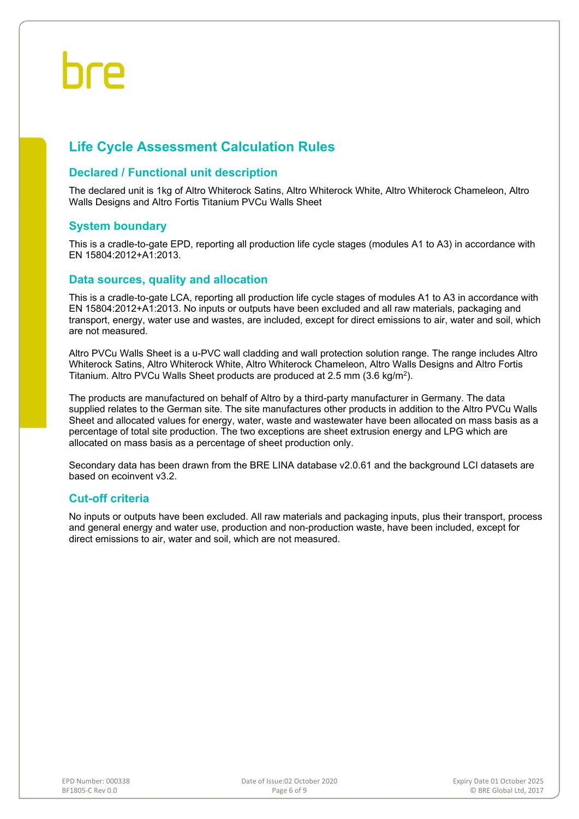# **Life Cycle Assessment Calculation Rules**

### **Declared / Functional unit description**

The declared unit is 1kg of Altro Whiterock Satins, Altro Whiterock White, Altro Whiterock Chameleon, Altro Walls Designs and Altro Fortis Titanium PVCu Walls Sheet

### **System boundary**

This is a cradle-to-gate EPD, reporting all production life cycle stages (modules A1 to A3) in accordance with EN 15804:2012+A1:2013.

### **Data sources, quality and allocation**

This is a cradle-to-gate LCA, reporting all production life cycle stages of modules A1 to A3 in accordance with EN 15804:2012+A1:2013. No inputs or outputs have been excluded and all raw materials, packaging and transport, energy, water use and wastes, are included, except for direct emissions to air, water and soil, which are not measured.

Altro PVCu Walls Sheet is a u-PVC wall cladding and wall protection solution range. The range includes Altro Whiterock Satins, Altro Whiterock White, Altro Whiterock Chameleon, Altro Walls Designs and Altro Fortis Titanium. Altro PVCu Walls Sheet products are produced at 2.5 mm (3.6 kg/m2).

The products are manufactured on behalf of Altro by a third-party manufacturer in Germany. The data supplied relates to the German site. The site manufactures other products in addition to the Altro PVCu Walls Sheet and allocated values for energy, water, waste and wastewater have been allocated on mass basis as a percentage of total site production. The two exceptions are sheet extrusion energy and LPG which are allocated on mass basis as a percentage of sheet production only.

Secondary data has been drawn from the BRE LINA database v2.0.61 and the background LCI datasets are based on ecoinvent v3.2.

### **Cut-off criteria**

No inputs or outputs have been excluded. All raw materials and packaging inputs, plus their transport, process and general energy and water use, production and non-production waste, have been included, except for direct emissions to air, water and soil, which are not measured.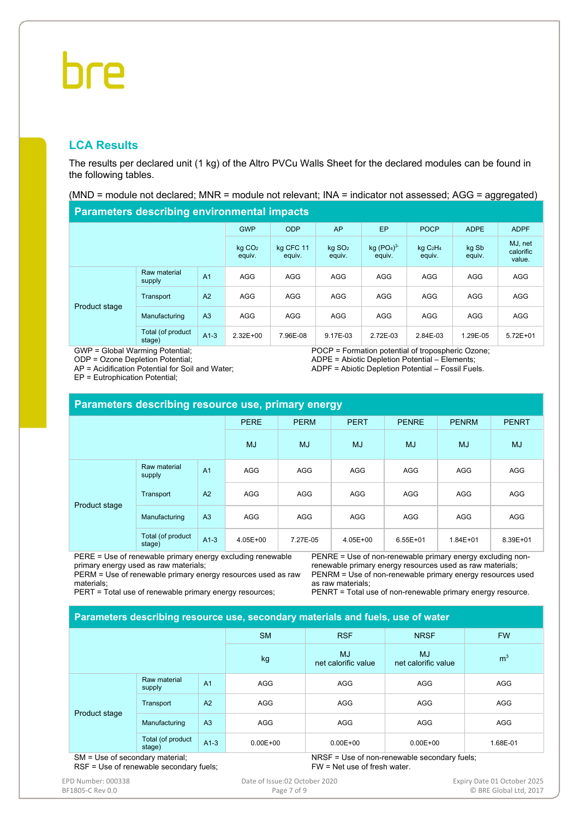# פחר

# **LCA Results**

The results per declared unit (1 kg) of the Altro PVCu Walls Sheet for the declared modules can be found in the following tables.

(MND = module not declared; MNR = module not relevant; INA = indicator not assessed; AGG = aggregated)

#### **Parameters describing environmental impacts**

|               | .                           |                |                              |                     |                              |                                              |                                           |                 |                                |
|---------------|-----------------------------|----------------|------------------------------|---------------------|------------------------------|----------------------------------------------|-------------------------------------------|-----------------|--------------------------------|
|               |                             |                | <b>GWP</b>                   | <b>ODP</b>          | AP                           | EP                                           | <b>POCP</b>                               | <b>ADPE</b>     | <b>ADPF</b>                    |
|               |                             |                | kg CO <sub>2</sub><br>equiv. | kg CFC 11<br>equiv. | kg SO <sub>2</sub><br>equiv. | kg (PO <sub>4</sub> ) <sup>3</sup><br>equiv. | kgC <sub>2</sub> H <sub>4</sub><br>equiv. | kg Sb<br>equiv. | MJ, net<br>calorific<br>value. |
| Product stage | Raw material<br>supply      | A <sub>1</sub> | <b>AGG</b>                   | <b>AGG</b>          | <b>AGG</b>                   | <b>AGG</b>                                   | <b>AGG</b>                                | <b>AGG</b>      | <b>AGG</b>                     |
|               | Transport                   | A2             | <b>AGG</b>                   | <b>AGG</b>          | <b>AGG</b>                   | <b>AGG</b>                                   | <b>AGG</b>                                | <b>AGG</b>      | AGG                            |
|               | Manufacturing               | A <sub>3</sub> | <b>AGG</b>                   | <b>AGG</b>          | <b>AGG</b>                   | <b>AGG</b>                                   | <b>AGG</b>                                | <b>AGG</b>      | AGG                            |
|               | Total (of product<br>stage) | $A1-3$         | $2.32E + 00$                 | 7.96E-08            | 9.17E-03                     | 2.72E-03                                     | 2.84E-03                                  | 1.29E-05        | $5.72E + 01$                   |

GWP = Global Warming Potential;

ODP = Ozone Depletion Potential;

AP = Acidification Potential for Soil and Water;

EP = Eutrophication Potential;

POCP = Formation potential of tropospheric Ozone; ADPE = Abiotic Depletion Potential – Elements; ADPF = Abiotic Depletion Potential – Fossil Fuels.

| Parameters describing resource use, primary energy |                             |                |             |             |             |              |              |              |  |  |
|----------------------------------------------------|-----------------------------|----------------|-------------|-------------|-------------|--------------|--------------|--------------|--|--|
|                                                    |                             |                | <b>PERE</b> | <b>PERM</b> | <b>PERT</b> | <b>PENRE</b> | <b>PENRM</b> | <b>PENRT</b> |  |  |
|                                                    |                             | <b>MJ</b>      | <b>MJ</b>   | <b>MJ</b>   | <b>MJ</b>   | <b>MJ</b>    | <b>MJ</b>    |              |  |  |
|                                                    | Raw material<br>supply      | A <sub>1</sub> | <b>AGG</b>  | <b>AGG</b>  | <b>AGG</b>  | <b>AGG</b>   | <b>AGG</b>   | <b>AGG</b>   |  |  |
|                                                    | Transport                   | A <sub>2</sub> | <b>AGG</b>  | <b>AGG</b>  | <b>AGG</b>  | <b>AGG</b>   | <b>AGG</b>   | <b>AGG</b>   |  |  |
| Product stage                                      | Manufacturing               | A <sub>3</sub> | <b>AGG</b>  | <b>AGG</b>  | <b>AGG</b>  | <b>AGG</b>   | <b>AGG</b>   | <b>AGG</b>   |  |  |
|                                                    | Total (of product<br>stage) | $A1-3$         | 4.05E+00    | 7.27E-05    | 4.05E+00    | $6.55E + 01$ | $1.84E + 01$ | 8.39E+01     |  |  |

PERE = Use of renewable primary energy excluding renewable primary energy used as raw materials;

PENRE = Use of non-renewable primary energy excluding nonrenewable primary energy resources used as raw materials; PENRM = Use of non-renewable primary energy resources used

PERM = Use of renewable primary energy resources used as raw materials;

PERT = Total use of renewable primary energy resources;

as raw materials;

PENRT = Total use of non-renewable primary energy resource.

#### **Parameters describing resource use, secondary materials and fuels, use of water**

|                             | .                           |                | .            |                                  |                                                                                                                                                                                                                                          |                |
|-----------------------------|-----------------------------|----------------|--------------|----------------------------------|------------------------------------------------------------------------------------------------------------------------------------------------------------------------------------------------------------------------------------------|----------------|
|                             |                             |                |              | <b>RSF</b>                       | <b>NRSF</b>                                                                                                                                                                                                                              | <b>FW</b>      |
|                             |                             |                | kg           | <b>MJ</b><br>net calorific value | <b>MJ</b><br>net calorific value                                                                                                                                                                                                         | m <sup>3</sup> |
|                             | Raw material<br>supply      | A <sub>1</sub> | AGG          | AGG                              | AGG                                                                                                                                                                                                                                      | AGG            |
|                             | Transport                   | A2             | AGG          | AGG                              | AGG                                                                                                                                                                                                                                      | AGG            |
| Product stage<br>$\epsilon$ | Manufacturing               | A <sub>3</sub> | AGG          | AGG                              | <b>AGG</b>                                                                                                                                                                                                                               | AGG            |
|                             | Total (of product<br>stage) | $A1-3$         | $0.00E + 00$ | $0.00E + 00$                     | $0.00E + 00$                                                                                                                                                                                                                             | 1.68E-01       |
|                             | .<br>$\sim$                 |                |              | $\cdots$                         | $\mathbf{r}$ , and the contract of the contract of the contract of the contract of the contract of the contract of the contract of the contract of the contract of the contract of the contract of the contract of the contract o<br>. . |                |

SM = Use of secondary material; RSF = Use of renewable secondary fuels; NRSF = Use of non-renewable secondary fuels; FW = Net use of fresh water.

EPD Number: 000338 **Date of Issue:02 October 2020 Expiry Date 01 October 2025 Expiry Date 01 October 2025** 

BF1805‐C Rev 0.0 **DRE Global Ltd, 2017** Page 7 of 9 **Page 7 of 9 © BRE Global Ltd, 2017**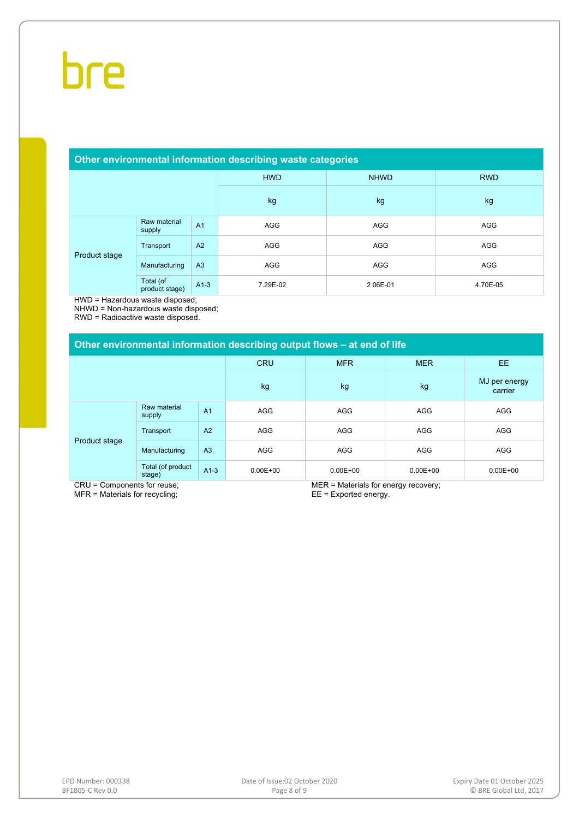#### **Other environmental information describing waste categories**

|               |                             |                | <b>HWD</b> | <b>NHWD</b> | <b>RWD</b> |
|---------------|-----------------------------|----------------|------------|-------------|------------|
|               |                             |                | kg         | kg          | kg         |
| Product stage | Raw material<br>supply      | A <sub>1</sub> | AGG        | AGG         | AGG        |
|               | Transport                   | A2             | <b>AGG</b> | <b>AGG</b>  | AGG        |
|               | Manufacturing               | A <sub>3</sub> | AGG        | AGG         | AGG        |
|               | Total (of<br>product stage) | $A1-3$         | 7.29E-02   | 2.06E-01    | 4.70E-05   |

HWD = Hazardous waste disposed;

NHWD = Non-hazardous waste disposed;

RWD = Radioactive waste disposed.

#### **Other environmental information describing output flows – at end of life**

|               |                             |                | <b>CRU</b>   | <b>MFR</b>   | <b>MER</b>   | EE.                      |
|---------------|-----------------------------|----------------|--------------|--------------|--------------|--------------------------|
|               |                             |                | kg           | kg           | kg           | MJ per energy<br>carrier |
| Product stage | Raw material<br>supply      | A <sub>1</sub> | AGG          | AGG          | <b>AGG</b>   | AGG                      |
|               | Transport                   | A2             | <b>AGG</b>   | AGG          | <b>AGG</b>   | AGG                      |
|               | Manufacturing               | A <sub>3</sub> | <b>AGG</b>   | <b>AGG</b>   | <b>AGG</b>   | <b>AGG</b>               |
|               | Total (of product<br>stage) | $A1-3$         | $0.00E + 00$ | $0.00E + 00$ | $0.00E + 00$ | $0.00E + 00$             |

CRU = Components for reuse; MFR = Materials for recycling;

MER = Materials for energy recovery; EE = Exported energy.